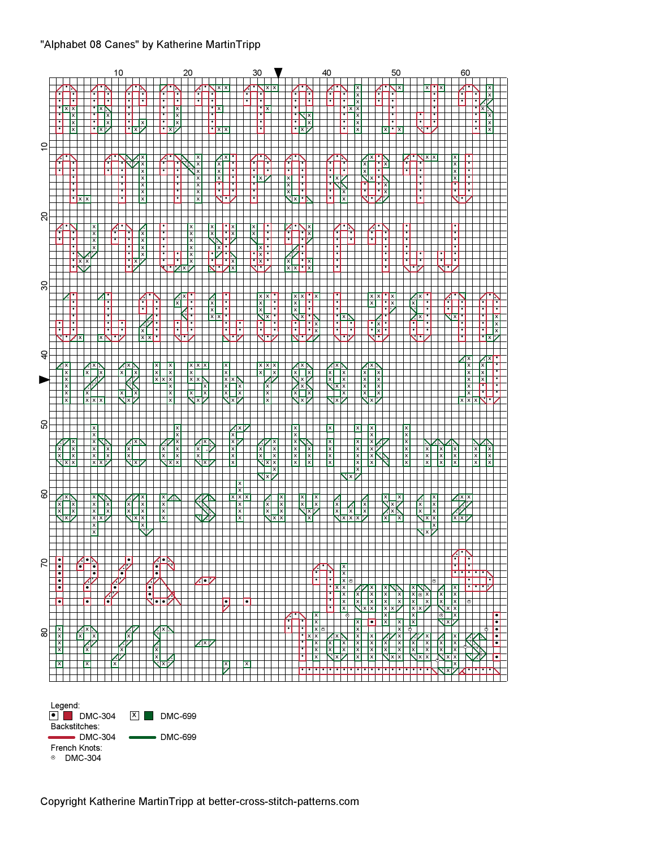### "Alphabet 08 Canes" by Katherine MartinTripp

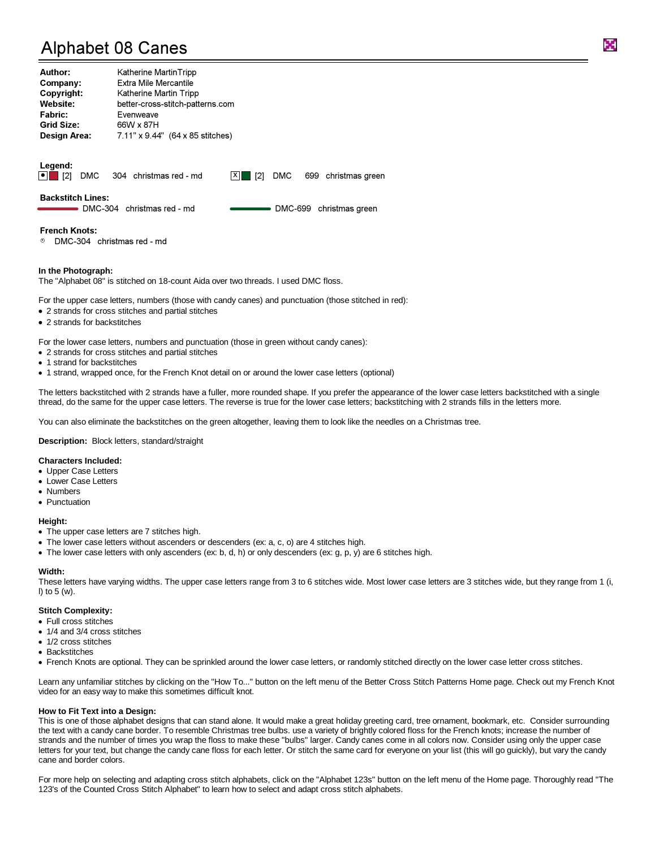# Alphabet 08 Canes

| Author:             | Katherine MartinTripp            |
|---------------------|----------------------------------|
| Company:            | <b>Extra Mile Mercantile</b>     |
| Copyright:          | Katherine Martin Tripp           |
| Website:            | better-cross-stitch-patterns.com |
| <b>Fabric:</b>      | Evenweave                        |
| <b>Grid Size:</b>   | 66W x 87H                        |
| <b>Design Area:</b> | 7.11" x 9.44" (64 x 85 stitches) |

**Legend:**<br> $\begin{bmatrix} \bullet \\ \bullet \end{bmatrix}$  [2] DMC 304 christmas red - md  $X$  [2] DMC 699 christmas green

Backstitch Lines:

DMC-304 christmas red - md **COME COMC-699** christmas green

#### French Knots:

" DMC-304 christmas red - md

#### **In the Photograph:**

The "Alphabet 08" is stitched on 18-count Aida over two threads. I used DMC floss.

For the upper case letters, numbers (those with candy canes) and punctuation (those stitched in red):

- 2 strands for cross stitches and partial stitches
- 2 strands for backstitches

For the lower case letters, numbers and punctuation (those in green without candy canes):

- 2 strands for cross stitches and partial stitches
- 1 strand for backstitches
- 1 strand, wrapped once, for the French Knot detail on or around the lower case letters (optional)

The letters backstitched with 2 strands have a fuller, more rounded shape. If you prefer the appearance of the lower case letters backstitched with a single thread, do the same for the upper case letters. The reverse is true for the lower case letters; backstitching with 2 strands fills in the letters more.

You can also eliminate the backstitches on the green altogether, leaving them to look like the needles on a Christmas tree.

**Description:** Block letters, standard/straight

#### **Characters Included:**

- Upper Case Letters
- Lower Case Letters
- Numbers
- Punctuation

#### **Height:**

- The upper case letters are 7 stitches high.
- The lower case letters without ascenders or descenders (ex: a, c, o) are 4 stitches high.
- The lower case letters with only ascenders (ex: b, d, h) or only descenders (ex: g, p, y) are 6 stitches high.

#### **Width:**

These letters have varying widths. The upper case letters range from 3 to 6 stitches wide. Most lower case letters are 3 stitches wide, but they range from 1 (i, l) to 5 (w).

#### **Stitch Complexity:**

- Full cross stitches
- 1/4 and 3/4 cross stitches
- 1/2 cross stitches
- Backstitches
- French Knots are optional. They can be sprinkled around the lower case letters, or randomly stitched directly on the lower case letter cross stitches.

Learn any unfamiliar stitches by clicking on the "How To..." button on the left menu of the Better Cross Stitch Patterns Home page. Check out my French Knot video for an easy way to make this sometimes difficult knot.

#### **How to Fit Text into a Design:**

This is one of those alphabet designs that can stand alone. It would make a great holiday greeting card, tree ornament, bookmark, etc. Consider surrounding the text with a candy cane border. To resemble Christmas tree bulbs. use a variety of brightly colored floss for the French knots; increase the number of strands and the number of times you wrap the floss to make these "bulbs" larger. Candy canes come in all colors now. Consider using only the upper case letters for your text, but change the candy cane floss for each letter. Or stitch the same card for everyone on your list (this will go guickly), but vary the candy cane and border colors.

For more help on selecting and adapting cross stitch alphabets, click on the "Alphabet 123s" button on the left menu of the Home page. Thoroughly read "The 123's of the Counted Cross Stitch Alphabet" to learn how to select and adapt cross stitch alphabets.

K